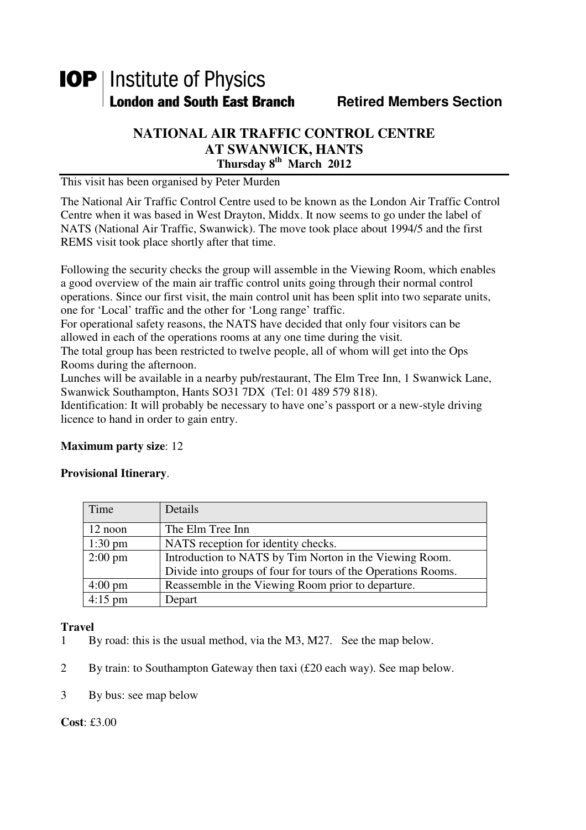# **IOP** | Institute of Physics **London and South East Branch Fig. 2.1 Retired Members Section**

### **NATIONAL AIR TRAFFIC CONTROL CENTRE AT SWANWICK, HANTS Thursday 8th March 2012**

This visit has been organised by Peter Murden

The National Air Traffic Control Centre used to be known as the London Air Traffic Control Centre when it was based in West Drayton, Middx. It now seems to go under the label of NATS (National Air Traffic, Swanwick). The move took place about 1994/5 and the first REMS visit took place shortly after that time.

Following the security checks the group will assemble in the Viewing Room, which enables a good overview of the main air traffic control units going through their normal control operations. Since our first visit, the main control unit has been split into two separate units, one for 'Local' traffic and the other for 'Long range' traffic.

For operational safety reasons, the NATS have decided that only four visitors can be allowed in each of the operations rooms at any one time during the visit.

The total group has been restricted to twelve people, all of whom will get into the Ops Rooms during the afternoon.

Lunches will be available in a nearby pub/restaurant, The Elm Tree Inn, 1 Swanwick Lane, Swanwick Southampton, Hants SO31 7DX (Tel: 01 489 579 818).

Identification: It will probably be necessary to have one's passport or a new-style driving licence to hand in order to gain entry.

## **Maximum party size**: 12

#### **Provisional Itinerary**.

| Time              | Details                                                       |
|-------------------|---------------------------------------------------------------|
| 12 noon           | The Elm Tree Inn                                              |
| $1:30 \text{ pm}$ | NATS reception for identity checks.                           |
| $2:00 \text{ pm}$ | Introduction to NATS by Tim Norton in the Viewing Room.       |
|                   | Divide into groups of four for tours of the Operations Rooms. |
| $4:00 \text{ pm}$ | Reassemble in the Viewing Room prior to departure.            |
| $4:15$ pm         | Depart                                                        |

#### **Travel**

- 1 By road: this is the usual method, via the M3, M27. See the map below.
- 2 By train: to Southampton Gateway then taxi (£20 each way). See map below.
- 3 By bus: see map below

**Cost**: £3.00